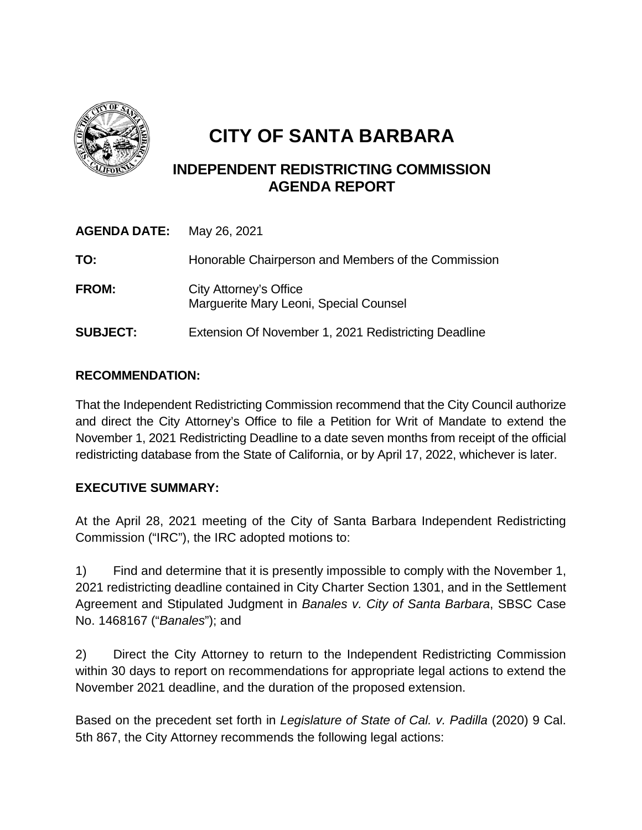

# **CITY OF SANTA BARBARA**

# **INDEPENDENT REDISTRICTING COMMISSION AGENDA REPORT**

| <b>AGENDA DATE:</b> | May 26, 2021                                                     |
|---------------------|------------------------------------------------------------------|
| TO:                 | Honorable Chairperson and Members of the Commission              |
| <b>FROM:</b>        | City Attorney's Office<br>Marguerite Mary Leoni, Special Counsel |
| <b>SUBJECT:</b>     | Extension Of November 1, 2021 Redistricting Deadline             |

# **RECOMMENDATION:**

That the Independent Redistricting Commission recommend that the City Council authorize and direct the City Attorney's Office to file a Petition for Writ of Mandate to extend the November 1, 2021 Redistricting Deadline to a date seven months from receipt of the official redistricting database from the State of California, or by April 17, 2022, whichever is later.

# **EXECUTIVE SUMMARY:**

At the April 28, 2021 meeting of the City of Santa Barbara Independent Redistricting Commission ("IRC"), the IRC adopted motions to:

1) Find and determine that it is presently impossible to comply with the November 1, 2021 redistricting deadline contained in City Charter Section 1301, and in the Settlement Agreement and Stipulated Judgment in *Banales v. City of Santa Barbara*, SBSC Case No. 1468167 ("*Banales*"); and

2) Direct the City Attorney to return to the Independent Redistricting Commission within 30 days to report on recommendations for appropriate legal actions to extend the November 2021 deadline, and the duration of the proposed extension.

Based on the precedent set forth in *Legislature of State of Cal. v. Padilla* (2020) 9 Cal. 5th 867, the City Attorney recommends the following legal actions: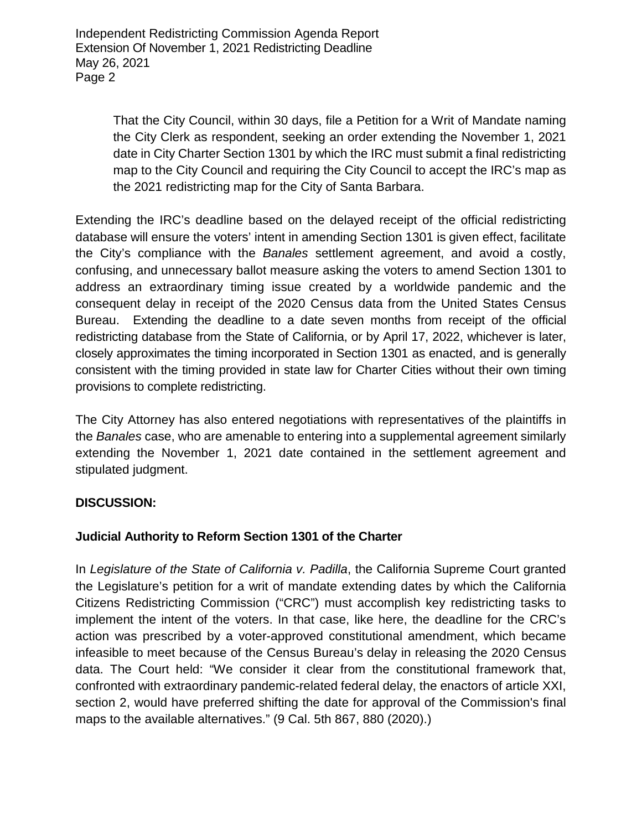> That the City Council, within 30 days, file a Petition for a Writ of Mandate naming the City Clerk as respondent, seeking an order extending the November 1, 2021 date in City Charter Section 1301 by which the IRC must submit a final redistricting map to the City Council and requiring the City Council to accept the IRC's map as the 2021 redistricting map for the City of Santa Barbara.

Extending the IRC's deadline based on the delayed receipt of the official redistricting database will ensure the voters' intent in amending Section 1301 is given effect, facilitate the City's compliance with the *Banales* settlement agreement, and avoid a costly, confusing, and unnecessary ballot measure asking the voters to amend Section 1301 to address an extraordinary timing issue created by a worldwide pandemic and the consequent delay in receipt of the 2020 Census data from the United States Census Bureau. Extending the deadline to a date seven months from receipt of the official redistricting database from the State of California, or by April 17, 2022, whichever is later, closely approximates the timing incorporated in Section 1301 as enacted, and is generally consistent with the timing provided in state law for Charter Cities without their own timing provisions to complete redistricting.

The City Attorney has also entered negotiations with representatives of the plaintiffs in the *Banales* case, who are amenable to entering into a supplemental agreement similarly extending the November 1, 2021 date contained in the settlement agreement and stipulated judgment.

#### **DISCUSSION:**

#### **Judicial Authority to Reform Section 1301 of the Charter**

In *Legislature of the State of California v. Padilla*, the California Supreme Court granted the Legislature's petition for a writ of mandate extending dates by which the California Citizens Redistricting Commission ("CRC") must accomplish key redistricting tasks to implement the intent of the voters. In that case, like here, the deadline for the CRC's action was prescribed by a voter-approved constitutional amendment, which became infeasible to meet because of the Census Bureau's delay in releasing the 2020 Census data. The Court held: "We consider it clear from the constitutional framework that, confronted with extraordinary pandemic-related federal delay, the enactors of article XXI, section 2, would have preferred shifting the date for approval of the Commission's final maps to the available alternatives." (9 Cal. 5th 867, 880 (2020).)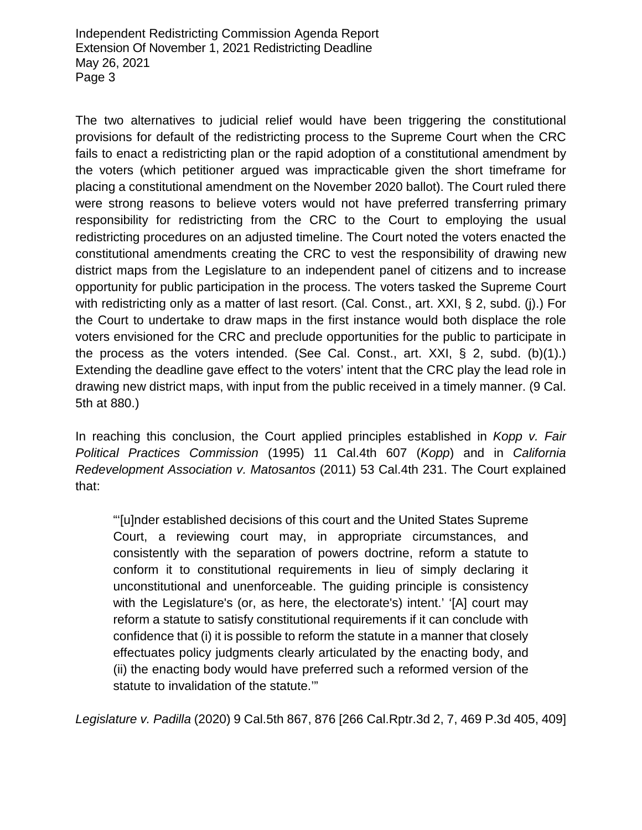The two alternatives to judicial relief would have been triggering the constitutional provisions for default of the redistricting process to the Supreme Court when the CRC fails to enact a redistricting plan or the rapid adoption of a constitutional amendment by the voters (which petitioner argued was impracticable given the short timeframe for placing a constitutional amendment on the November 2020 ballot). The Court ruled there were strong reasons to believe voters would not have preferred transferring primary responsibility for redistricting from the CRC to the Court to employing the usual redistricting procedures on an adjusted timeline. The Court noted the voters enacted the constitutional amendments creating the CRC to vest the responsibility of drawing new district maps from the Legislature to an independent panel of citizens and to increase opportunity for public participation in the process. The voters tasked the Supreme Court with redistricting only as a matter of last resort. (Cal. Const., art. XXI, § 2, subd. (i).) For the Court to undertake to draw maps in the first instance would both displace the role voters envisioned for the CRC and preclude opportunities for the public to participate in the process as the voters intended. (See Cal. Const., art. XXI, § 2, subd. (b)(1).) Extending the deadline gave effect to the voters' intent that the CRC play the lead role in drawing new district maps, with input from the public received in a timely manner. (9 Cal. 5th at 880.)

In reaching this conclusion, the Court applied principles established in *Kopp v. Fair Political Practices Commission* (1995) 11 Cal.4th 607 (*Kopp*) and in *California Redevelopment Association v. Matosantos* (2011) 53 Cal.4th 231. The Court explained that:

"'[u]nder established decisions of this court and the United States Supreme Court, a reviewing court may, in appropriate circumstances, and consistently with the separation of powers doctrine, reform a statute to conform it to constitutional requirements in lieu of simply declaring it unconstitutional and unenforceable. The guiding principle is consistency with the Legislature's (or, as here, the electorate's) intent.' '[A] court may reform a statute to satisfy constitutional requirements if it can conclude with confidence that (i) it is possible to reform the statute in a manner that closely effectuates policy judgments clearly articulated by the enacting body, and (ii) the enacting body would have preferred such a reformed version of the statute to invalidation of the statute.'"

*Legislature v. Padilla* (2020) 9 Cal.5th 867, 876 [266 Cal.Rptr.3d 2, 7, 469 P.3d 405, 409]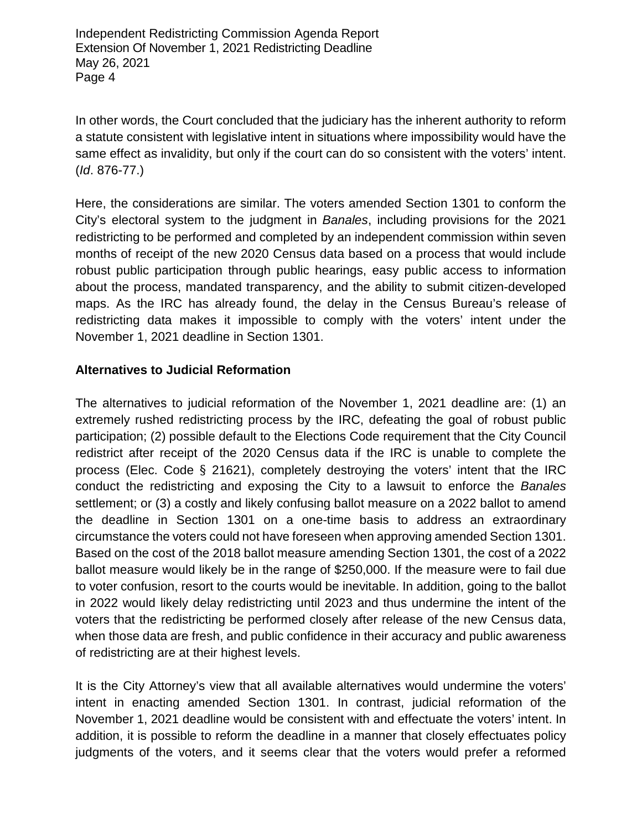In other words, the Court concluded that the judiciary has the inherent authority to reform a statute consistent with legislative intent in situations where impossibility would have the same effect as invalidity, but only if the court can do so consistent with the voters' intent. (*Id*. 876-77.)

Here, the considerations are similar. The voters amended Section 1301 to conform the City's electoral system to the judgment in *Banales*, including provisions for the 2021 redistricting to be performed and completed by an independent commission within seven months of receipt of the new 2020 Census data based on a process that would include robust public participation through public hearings, easy public access to information about the process, mandated transparency, and the ability to submit citizen-developed maps. As the IRC has already found, the delay in the Census Bureau's release of redistricting data makes it impossible to comply with the voters' intent under the November 1, 2021 deadline in Section 1301.

## **Alternatives to Judicial Reformation**

The alternatives to judicial reformation of the November 1, 2021 deadline are: (1) an extremely rushed redistricting process by the IRC, defeating the goal of robust public participation; (2) possible default to the Elections Code requirement that the City Council redistrict after receipt of the 2020 Census data if the IRC is unable to complete the process (Elec. Code § 21621), completely destroying the voters' intent that the IRC conduct the redistricting and exposing the City to a lawsuit to enforce the *Banales* settlement; or (3) a costly and likely confusing ballot measure on a 2022 ballot to amend the deadline in Section 1301 on a one-time basis to address an extraordinary circumstance the voters could not have foreseen when approving amended Section 1301. Based on the cost of the 2018 ballot measure amending Section 1301, the cost of a 2022 ballot measure would likely be in the range of \$250,000. If the measure were to fail due to voter confusion, resort to the courts would be inevitable. In addition, going to the ballot in 2022 would likely delay redistricting until 2023 and thus undermine the intent of the voters that the redistricting be performed closely after release of the new Census data, when those data are fresh, and public confidence in their accuracy and public awareness of redistricting are at their highest levels.

It is the City Attorney's view that all available alternatives would undermine the voters' intent in enacting amended Section 1301. In contrast, judicial reformation of the November 1, 2021 deadline would be consistent with and effectuate the voters' intent. In addition, it is possible to reform the deadline in a manner that closely effectuates policy judgments of the voters, and it seems clear that the voters would prefer a reformed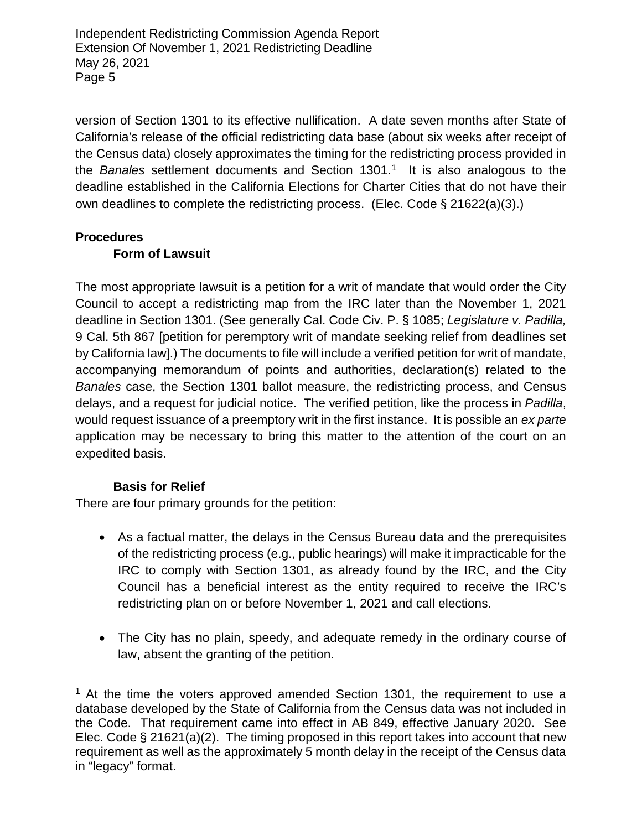version of Section 1301 to its effective nullification. A date seven months after State of California's release of the official redistricting data base (about six weeks after receipt of the Census data) closely approximates the timing for the redistricting process provided in the *Banales* settlement documents and Section 1301.[1](#page-4-0) It is also analogous to the deadline established in the California Elections for Charter Cities that do not have their own deadlines to complete the redistricting process. (Elec. Code § 21622(a)(3).)

#### **Procedures**

## **Form of Lawsuit**

The most appropriate lawsuit is a petition for a writ of mandate that would order the City Council to accept a redistricting map from the IRC later than the November 1, 2021 deadline in Section 1301. (See generally Cal. Code Civ. P. § 1085; *Legislature v. Padilla,*  9 Cal. 5th 867 [petition for peremptory writ of mandate seeking relief from deadlines set by California law].) The documents to file will include a verified petition for writ of mandate, accompanying memorandum of points and authorities, declaration(s) related to the *Banales* case, the Section 1301 ballot measure, the redistricting process, and Census delays, and a request for judicial notice. The verified petition, like the process in *Padilla*, would request issuance of a preemptory writ in the first instance. It is possible an *ex parte* application may be necessary to bring this matter to the attention of the court on an expedited basis.

#### **Basis for Relief**

l

There are four primary grounds for the petition:

- As a factual matter, the delays in the Census Bureau data and the prerequisites of the redistricting process (e.g., public hearings) will make it impracticable for the IRC to comply with Section 1301, as already found by the IRC, and the City Council has a beneficial interest as the entity required to receive the IRC's redistricting plan on or before November 1, 2021 and call elections.
- The City has no plain, speedy, and adequate remedy in the ordinary course of law, absent the granting of the petition.

<span id="page-4-0"></span> $1$  At the time the voters approved amended Section 1301, the requirement to use a database developed by the State of California from the Census data was not included in the Code. That requirement came into effect in AB 849, effective January 2020. See Elec. Code § 21621(a)(2). The timing proposed in this report takes into account that new requirement as well as the approximately 5 month delay in the receipt of the Census data in "legacy" format.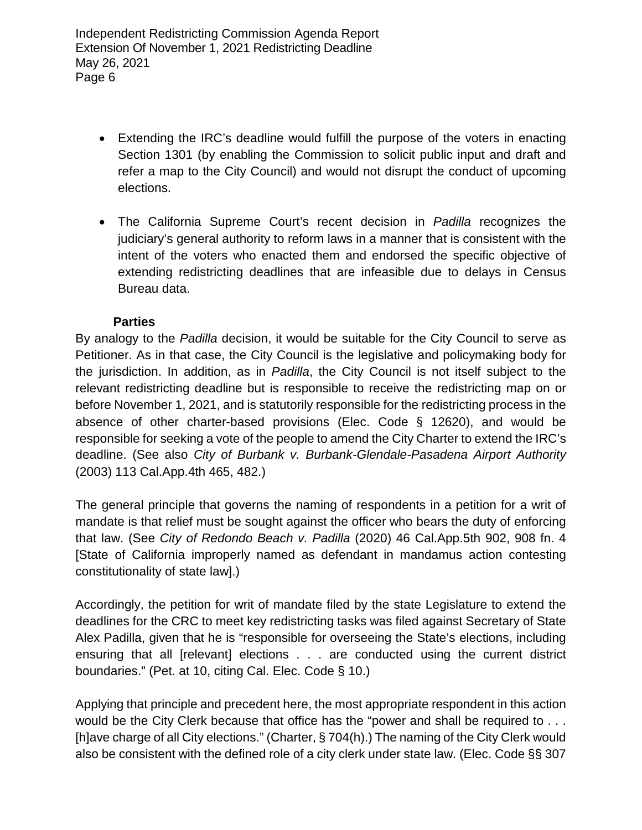- Extending the IRC's deadline would fulfill the purpose of the voters in enacting Section 1301 (by enabling the Commission to solicit public input and draft and refer a map to the City Council) and would not disrupt the conduct of upcoming elections.
- The California Supreme Court's recent decision in *Padilla* recognizes the judiciary's general authority to reform laws in a manner that is consistent with the intent of the voters who enacted them and endorsed the specific objective of extending redistricting deadlines that are infeasible due to delays in Census Bureau data.

## **Parties**

By analogy to the *Padilla* decision, it would be suitable for the City Council to serve as Petitioner. As in that case, the City Council is the legislative and policymaking body for the jurisdiction. In addition, as in *Padilla*, the City Council is not itself subject to the relevant redistricting deadline but is responsible to receive the redistricting map on or before November 1, 2021, and is statutorily responsible for the redistricting process in the absence of other charter-based provisions (Elec. Code § 12620), and would be responsible for seeking a vote of the people to amend the City Charter to extend the IRC's deadline. (See also *City of Burbank v. Burbank-Glendale-Pasadena Airport Authority* (2003) 113 Cal.App.4th 465, 482.)

The general principle that governs the naming of respondents in a petition for a writ of mandate is that relief must be sought against the officer who bears the duty of enforcing that law. (See *City of Redondo Beach v. Padilla* (2020) 46 Cal.App.5th 902, 908 fn. 4 [State of California improperly named as defendant in mandamus action contesting constitutionality of state law].)

Accordingly, the petition for writ of mandate filed by the state Legislature to extend the deadlines for the CRC to meet key redistricting tasks was filed against Secretary of State Alex Padilla, given that he is "responsible for overseeing the State's elections, including ensuring that all [relevant] elections . . . are conducted using the current district boundaries." (Pet. at 10, citing Cal. Elec. Code § 10.)

Applying that principle and precedent here, the most appropriate respondent in this action would be the City Clerk because that office has the "power and shall be required to . . . [h]ave charge of all City elections." (Charter, § 704(h).) The naming of the City Clerk would also be consistent with the defined role of a city clerk under state law. (Elec. Code §§ 307